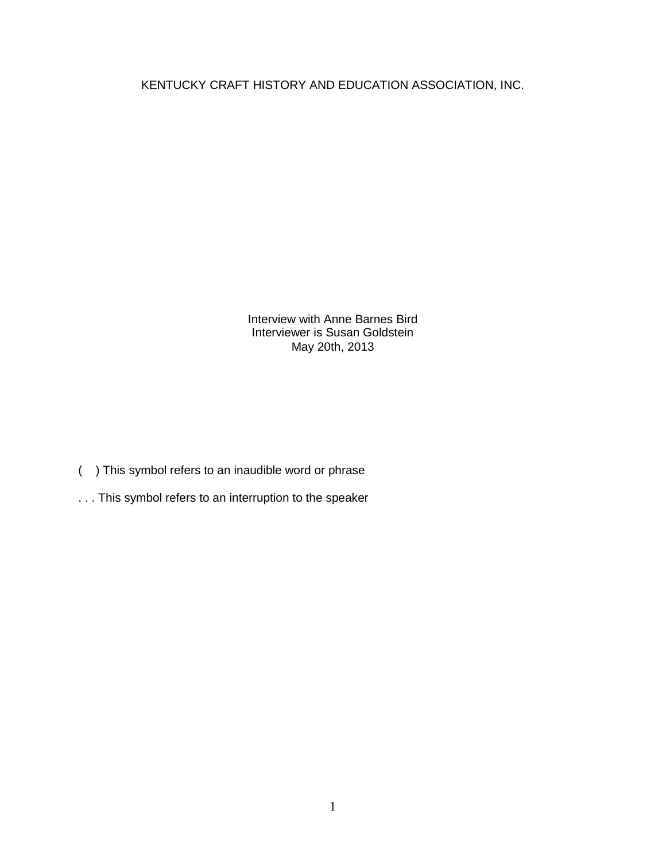KENTUCKY CRAFT HISTORY AND EDUCATION ASSOCIATION, INC.

Interview with Anne Barnes Bird Interviewer is Susan Goldstein May 20th, 2013

- ( ) This symbol refers to an inaudible word or phrase
- . . . This symbol refers to an interruption to the speaker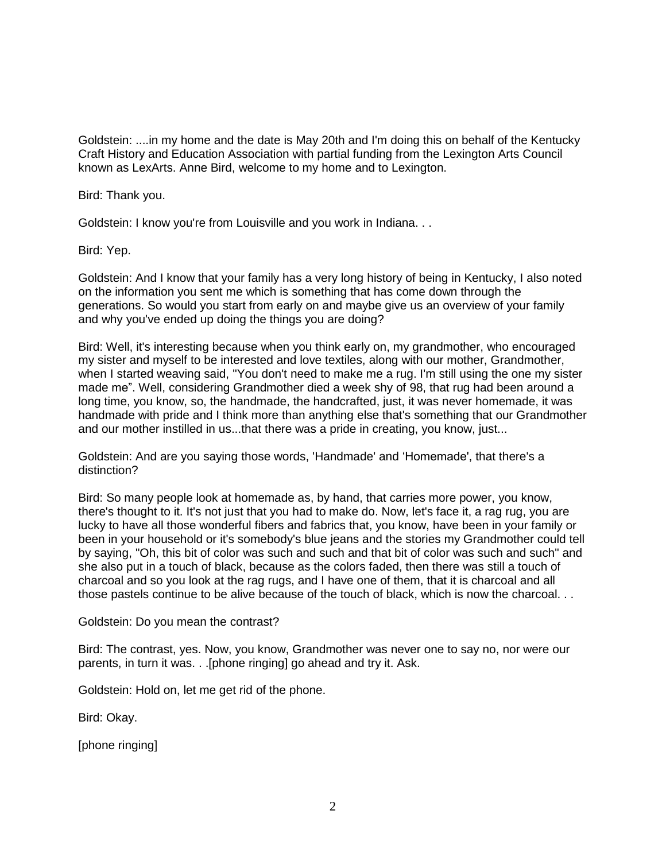Goldstein: ....in my home and the date is May 20th and I'm doing this on behalf of the Kentucky Craft History and Education Association with partial funding from the Lexington Arts Council known as LexArts. Anne Bird, welcome to my home and to Lexington.

Bird: Thank you.

Goldstein: I know you're from Louisville and you work in Indiana. . .

Bird: Yep.

Goldstein: And I know that your family has a very long history of being in Kentucky, I also noted on the information you sent me which is something that has come down through the generations. So would you start from early on and maybe give us an overview of your family and why you've ended up doing the things you are doing?

Bird: Well, it's interesting because when you think early on, my grandmother, who encouraged my sister and myself to be interested and love textiles, along with our mother, Grandmother, when I started weaving said, "You don't need to make me a rug. I'm still using the one my sister made me". Well, considering Grandmother died a week shy of 98, that rug had been around a long time, you know, so, the handmade, the handcrafted, just, it was never homemade, it was handmade with pride and I think more than anything else that's something that our Grandmother and our mother instilled in us...that there was a pride in creating, you know, just...

Goldstein: And are you saying those words, 'Handmade' and 'Homemade', that there's a distinction?

Bird: So many people look at homemade as, by hand, that carries more power, you know, there's thought to it. It's not just that you had to make do. Now, let's face it, a rag rug, you are lucky to have all those wonderful fibers and fabrics that, you know, have been in your family or been in your household or it's somebody's blue jeans and the stories my Grandmother could tell by saying, "Oh, this bit of color was such and such and that bit of color was such and such" and she also put in a touch of black, because as the colors faded, then there was still a touch of charcoal and so you look at the rag rugs, and I have one of them, that it is charcoal and all those pastels continue to be alive because of the touch of black, which is now the charcoal. . .

Goldstein: Do you mean the contrast?

Bird: The contrast, yes. Now, you know, Grandmother was never one to say no, nor were our parents, in turn it was. . .[phone ringing] go ahead and try it. Ask.

Goldstein: Hold on, let me get rid of the phone.

Bird: Okay.

[phone ringing]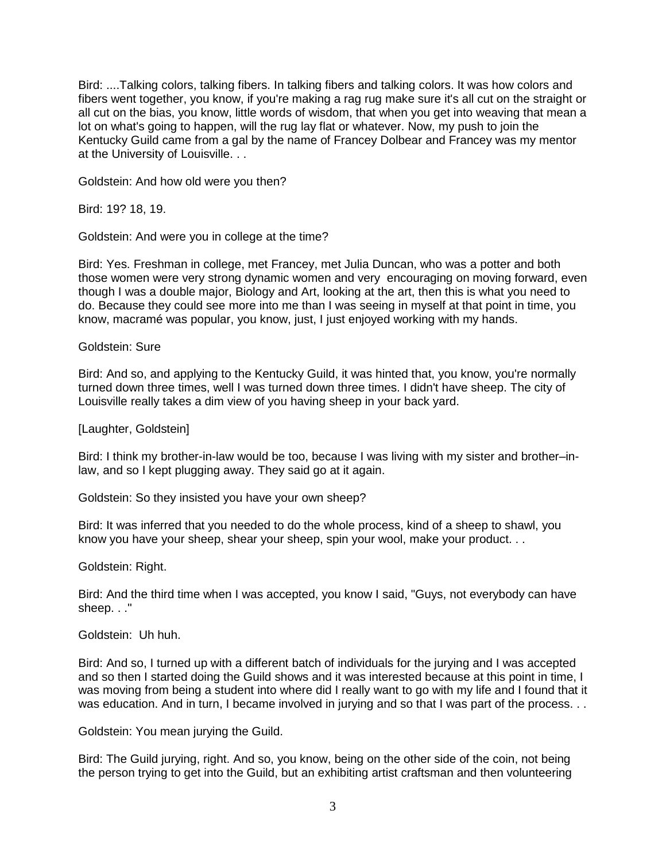Bird: ....Talking colors, talking fibers. In talking fibers and talking colors. It was how colors and fibers went together, you know, if you're making a rag rug make sure it's all cut on the straight or all cut on the bias, you know, little words of wisdom, that when you get into weaving that mean a lot on what's going to happen, will the rug lay flat or whatever. Now, my push to join the Kentucky Guild came from a gal by the name of Francey Dolbear and Francey was my mentor at the University of Louisville. . .

Goldstein: And how old were you then?

Bird: 19? 18, 19.

Goldstein: And were you in college at the time?

Bird: Yes. Freshman in college, met Francey, met Julia Duncan, who was a potter and both those women were very strong dynamic women and very encouraging on moving forward, even though I was a double major, Biology and Art, looking at the art, then this is what you need to do. Because they could see more into me than I was seeing in myself at that point in time, you know, macramé was popular, you know, just, I just enjoyed working with my hands.

Goldstein: Sure

Bird: And so, and applying to the Kentucky Guild, it was hinted that, you know, you're normally turned down three times, well I was turned down three times. I didn't have sheep. The city of Louisville really takes a dim view of you having sheep in your back yard.

[Laughter, Goldstein]

Bird: I think my brother-in-law would be too, because I was living with my sister and brother–inlaw, and so I kept plugging away. They said go at it again.

Goldstein: So they insisted you have your own sheep?

Bird: It was inferred that you needed to do the whole process, kind of a sheep to shawl, you know you have your sheep, shear your sheep, spin your wool, make your product. . .

Goldstein: Right.

Bird: And the third time when I was accepted, you know I said, "Guys, not everybody can have sheep. . ."

Goldstein: Uh huh.

Bird: And so, I turned up with a different batch of individuals for the jurying and I was accepted and so then I started doing the Guild shows and it was interested because at this point in time, I was moving from being a student into where did I really want to go with my life and I found that it was education. And in turn, I became involved in jurying and so that I was part of the process. . .

Goldstein: You mean jurying the Guild.

Bird: The Guild jurying, right. And so, you know, being on the other side of the coin, not being the person trying to get into the Guild, but an exhibiting artist craftsman and then volunteering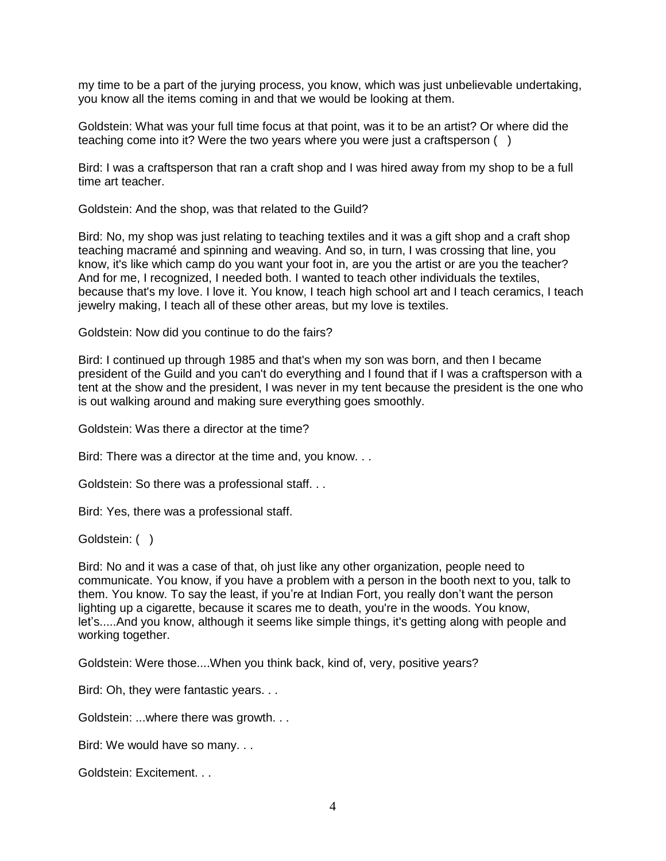my time to be a part of the jurying process, you know, which was just unbelievable undertaking, you know all the items coming in and that we would be looking at them.

Goldstein: What was your full time focus at that point, was it to be an artist? Or where did the teaching come into it? Were the two years where you were just a craftsperson ( )

Bird: I was a craftsperson that ran a craft shop and I was hired away from my shop to be a full time art teacher.

Goldstein: And the shop, was that related to the Guild?

Bird: No, my shop was just relating to teaching textiles and it was a gift shop and a craft shop teaching macramé and spinning and weaving. And so, in turn, I was crossing that line, you know, it's like which camp do you want your foot in, are you the artist or are you the teacher? And for me, I recognized, I needed both. I wanted to teach other individuals the textiles, because that's my love. I love it. You know, I teach high school art and I teach ceramics, I teach jewelry making, I teach all of these other areas, but my love is textiles.

Goldstein: Now did you continue to do the fairs?

Bird: I continued up through 1985 and that's when my son was born, and then I became president of the Guild and you can't do everything and I found that if I was a craftsperson with a tent at the show and the president, I was never in my tent because the president is the one who is out walking around and making sure everything goes smoothly.

Goldstein: Was there a director at the time?

Bird: There was a director at the time and, you know. . .

Goldstein: So there was a professional staff. . .

Bird: Yes, there was a professional staff.

Goldstein:  $( )$ 

Bird: No and it was a case of that, oh just like any other organization, people need to communicate. You know, if you have a problem with a person in the booth next to you, talk to them. You know. To say the least, if you're at Indian Fort, you really don't want the person lighting up a cigarette, because it scares me to death, you're in the woods. You know, let's.....And you know, although it seems like simple things, it's getting along with people and working together.

Goldstein: Were those....When you think back, kind of, very, positive years?

Bird: Oh, they were fantastic years. . .

Goldstein: ...where there was growth. . .

Bird: We would have so many. . .

Goldstein: Excitement. . .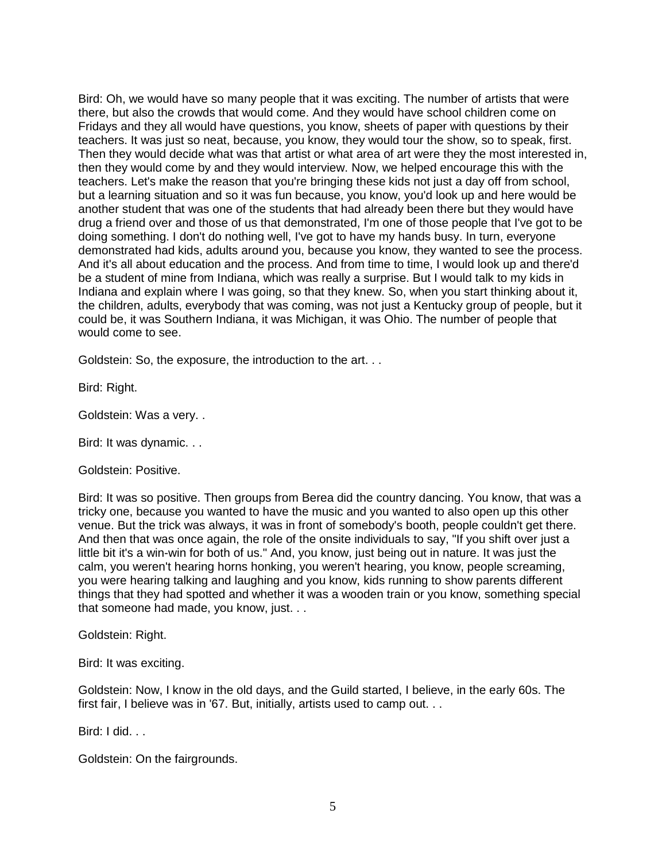Bird: Oh, we would have so many people that it was exciting. The number of artists that were there, but also the crowds that would come. And they would have school children come on Fridays and they all would have questions, you know, sheets of paper with questions by their teachers. It was just so neat, because, you know, they would tour the show, so to speak, first. Then they would decide what was that artist or what area of art were they the most interested in, then they would come by and they would interview. Now, we helped encourage this with the teachers. Let's make the reason that you're bringing these kids not just a day off from school, but a learning situation and so it was fun because, you know, you'd look up and here would be another student that was one of the students that had already been there but they would have drug a friend over and those of us that demonstrated, I'm one of those people that I've got to be doing something. I don't do nothing well, I've got to have my hands busy. In turn, everyone demonstrated had kids, adults around you, because you know, they wanted to see the process. And it's all about education and the process. And from time to time, I would look up and there'd be a student of mine from Indiana, which was really a surprise. But I would talk to my kids in Indiana and explain where I was going, so that they knew. So, when you start thinking about it, the children, adults, everybody that was coming, was not just a Kentucky group of people, but it could be, it was Southern Indiana, it was Michigan, it was Ohio. The number of people that would come to see.

Goldstein: So, the exposure, the introduction to the art. . .

Bird: Right.

Goldstein: Was a very. .

Bird: It was dynamic. . .

Goldstein: Positive.

Bird: It was so positive. Then groups from Berea did the country dancing. You know, that was a tricky one, because you wanted to have the music and you wanted to also open up this other venue. But the trick was always, it was in front of somebody's booth, people couldn't get there. And then that was once again, the role of the onsite individuals to say, "If you shift over just a little bit it's a win-win for both of us." And, you know, just being out in nature. It was just the calm, you weren't hearing horns honking, you weren't hearing, you know, people screaming, you were hearing talking and laughing and you know, kids running to show parents different things that they had spotted and whether it was a wooden train or you know, something special that someone had made, you know, just. . .

Goldstein: Right.

Bird: It was exciting.

Goldstein: Now, I know in the old days, and the Guild started, I believe, in the early 60s. The first fair, I believe was in '67. But, initially, artists used to camp out. . .

Bird: I did. . .

Goldstein: On the fairgrounds.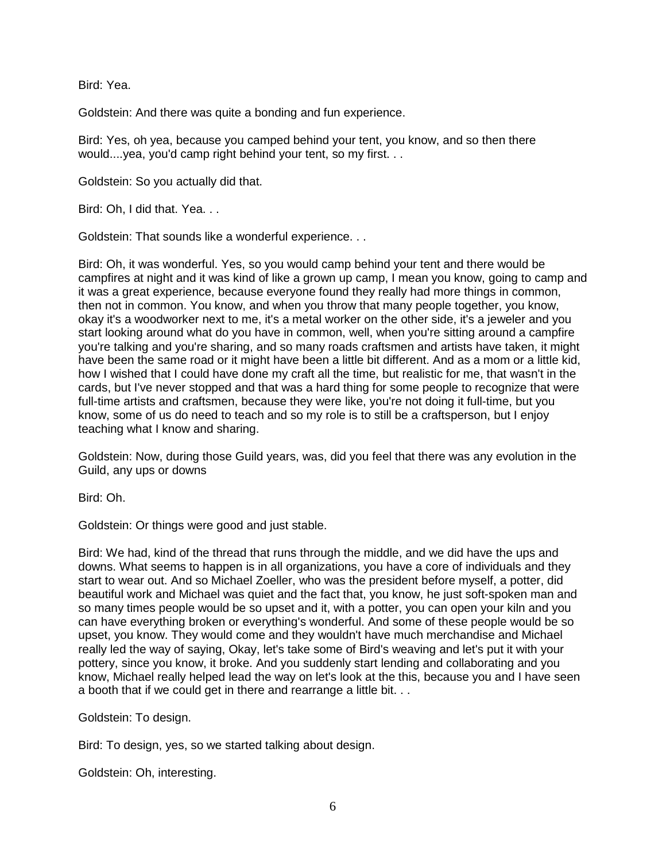Bird: Yea.

Goldstein: And there was quite a bonding and fun experience.

Bird: Yes, oh yea, because you camped behind your tent, you know, and so then there would....yea, you'd camp right behind your tent, so my first. . .

Goldstein: So you actually did that.

Bird: Oh, I did that. Yea. . .

Goldstein: That sounds like a wonderful experience. . .

Bird: Oh, it was wonderful. Yes, so you would camp behind your tent and there would be campfires at night and it was kind of like a grown up camp, I mean you know, going to camp and it was a great experience, because everyone found they really had more things in common, then not in common. You know, and when you throw that many people together, you know, okay it's a woodworker next to me, it's a metal worker on the other side, it's a jeweler and you start looking around what do you have in common, well, when you're sitting around a campfire you're talking and you're sharing, and so many roads craftsmen and artists have taken, it might have been the same road or it might have been a little bit different. And as a mom or a little kid, how I wished that I could have done my craft all the time, but realistic for me, that wasn't in the cards, but I've never stopped and that was a hard thing for some people to recognize that were full-time artists and craftsmen, because they were like, you're not doing it full-time, but you know, some of us do need to teach and so my role is to still be a craftsperson, but I enjoy teaching what I know and sharing.

Goldstein: Now, during those Guild years, was, did you feel that there was any evolution in the Guild, any ups or downs

Bird: Oh.

Goldstein: Or things were good and just stable.

Bird: We had, kind of the thread that runs through the middle, and we did have the ups and downs. What seems to happen is in all organizations, you have a core of individuals and they start to wear out. And so Michael Zoeller, who was the president before myself, a potter, did beautiful work and Michael was quiet and the fact that, you know, he just soft-spoken man and so many times people would be so upset and it, with a potter, you can open your kiln and you can have everything broken or everything's wonderful. And some of these people would be so upset, you know. They would come and they wouldn't have much merchandise and Michael really led the way of saying, Okay, let's take some of Bird's weaving and let's put it with your pottery, since you know, it broke. And you suddenly start lending and collaborating and you know, Michael really helped lead the way on let's look at the this, because you and I have seen a booth that if we could get in there and rearrange a little bit. . .

Goldstein: To design.

Bird: To design, yes, so we started talking about design.

Goldstein: Oh, interesting.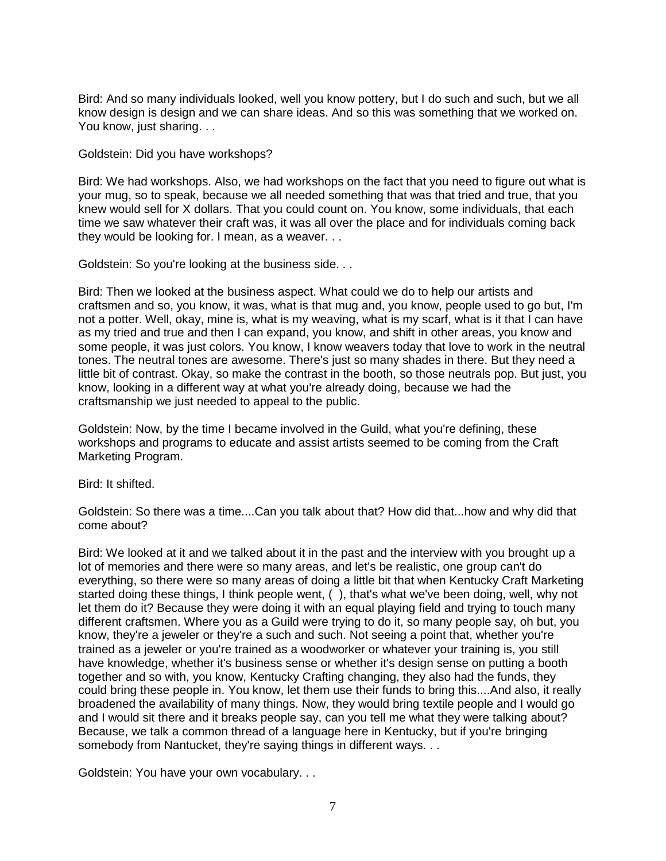Bird: And so many individuals looked, well you know pottery, but I do such and such, but we all know design is design and we can share ideas. And so this was something that we worked on. You know, just sharing. . .

## Goldstein: Did you have workshops?

Bird: We had workshops. Also, we had workshops on the fact that you need to figure out what is your mug, so to speak, because we all needed something that was that tried and true, that you knew would sell for X dollars. That you could count on. You know, some individuals, that each time we saw whatever their craft was, it was all over the place and for individuals coming back they would be looking for. I mean, as a weaver. . .

Goldstein: So you're looking at the business side. . .

Bird: Then we looked at the business aspect. What could we do to help our artists and craftsmen and so, you know, it was, what is that mug and, you know, people used to go but, I'm not a potter. Well, okay, mine is, what is my weaving, what is my scarf, what is it that I can have as my tried and true and then I can expand, you know, and shift in other areas, you know and some people, it was just colors. You know, I know weavers today that love to work in the neutral tones. The neutral tones are awesome. There's just so many shades in there. But they need a little bit of contrast. Okay, so make the contrast in the booth, so those neutrals pop. But just, you know, looking in a different way at what you're already doing, because we had the craftsmanship we just needed to appeal to the public.

Goldstein: Now, by the time I became involved in the Guild, what you're defining, these workshops and programs to educate and assist artists seemed to be coming from the Craft Marketing Program.

Bird: It shifted.

Goldstein: So there was a time....Can you talk about that? How did that...how and why did that come about?

Bird: We looked at it and we talked about it in the past and the interview with you brought up a lot of memories and there were so many areas, and let's be realistic, one group can't do everything, so there were so many areas of doing a little bit that when Kentucky Craft Marketing started doing these things, I think people went, ( ), that's what we've been doing, well, why not let them do it? Because they were doing it with an equal playing field and trying to touch many different craftsmen. Where you as a Guild were trying to do it, so many people say, oh but, you know, they're a jeweler or they're a such and such. Not seeing a point that, whether you're trained as a jeweler or you're trained as a woodworker or whatever your training is, you still have knowledge, whether it's business sense or whether it's design sense on putting a booth together and so with, you know, Kentucky Crafting changing, they also had the funds, they could bring these people in. You know, let them use their funds to bring this....And also, it really broadened the availability of many things. Now, they would bring textile people and I would go and I would sit there and it breaks people say, can you tell me what they were talking about? Because, we talk a common thread of a language here in Kentucky, but if you're bringing somebody from Nantucket, they're saying things in different ways. . .

Goldstein: You have your own vocabulary. . .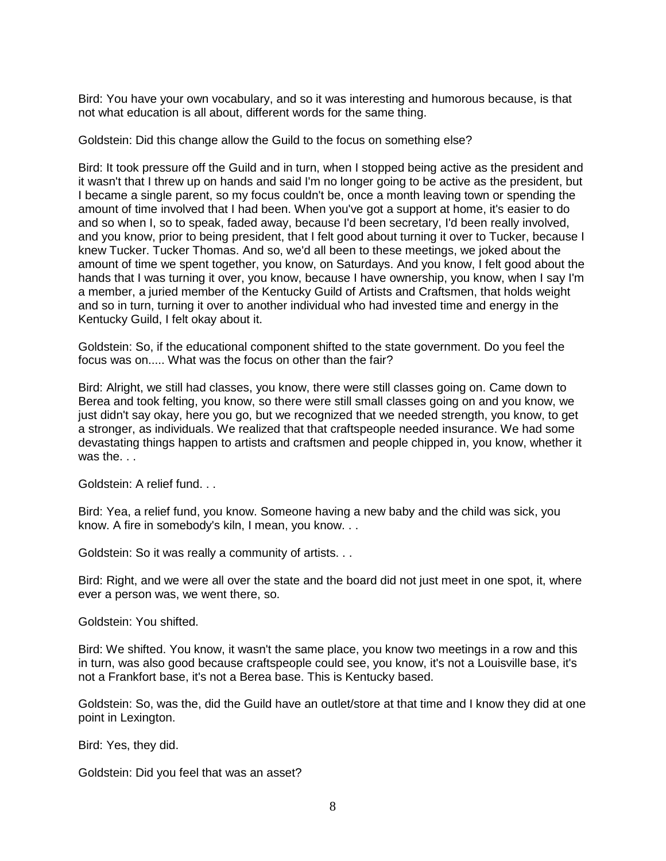Bird: You have your own vocabulary, and so it was interesting and humorous because, is that not what education is all about, different words for the same thing.

Goldstein: Did this change allow the Guild to the focus on something else?

Bird: It took pressure off the Guild and in turn, when I stopped being active as the president and it wasn't that I threw up on hands and said I'm no longer going to be active as the president, but I became a single parent, so my focus couldn't be, once a month leaving town or spending the amount of time involved that I had been. When you've got a support at home, it's easier to do and so when I, so to speak, faded away, because I'd been secretary, I'd been really involved, and you know, prior to being president, that I felt good about turning it over to Tucker, because I knew Tucker. Tucker Thomas. And so, we'd all been to these meetings, we joked about the amount of time we spent together, you know, on Saturdays. And you know, I felt good about the hands that I was turning it over, you know, because I have ownership, you know, when I say I'm a member, a juried member of the Kentucky Guild of Artists and Craftsmen, that holds weight and so in turn, turning it over to another individual who had invested time and energy in the Kentucky Guild, I felt okay about it.

Goldstein: So, if the educational component shifted to the state government. Do you feel the focus was on..... What was the focus on other than the fair?

Bird: Alright, we still had classes, you know, there were still classes going on. Came down to Berea and took felting, you know, so there were still small classes going on and you know, we just didn't say okay, here you go, but we recognized that we needed strength, you know, to get a stronger, as individuals. We realized that that craftspeople needed insurance. We had some devastating things happen to artists and craftsmen and people chipped in, you know, whether it was the...

Goldstein: A relief fund. . .

Bird: Yea, a relief fund, you know. Someone having a new baby and the child was sick, you know. A fire in somebody's kiln, I mean, you know. . .

Goldstein: So it was really a community of artists. . .

Bird: Right, and we were all over the state and the board did not just meet in one spot, it, where ever a person was, we went there, so.

Goldstein: You shifted.

Bird: We shifted. You know, it wasn't the same place, you know two meetings in a row and this in turn, was also good because craftspeople could see, you know, it's not a Louisville base, it's not a Frankfort base, it's not a Berea base. This is Kentucky based.

Goldstein: So, was the, did the Guild have an outlet/store at that time and I know they did at one point in Lexington.

Bird: Yes, they did.

Goldstein: Did you feel that was an asset?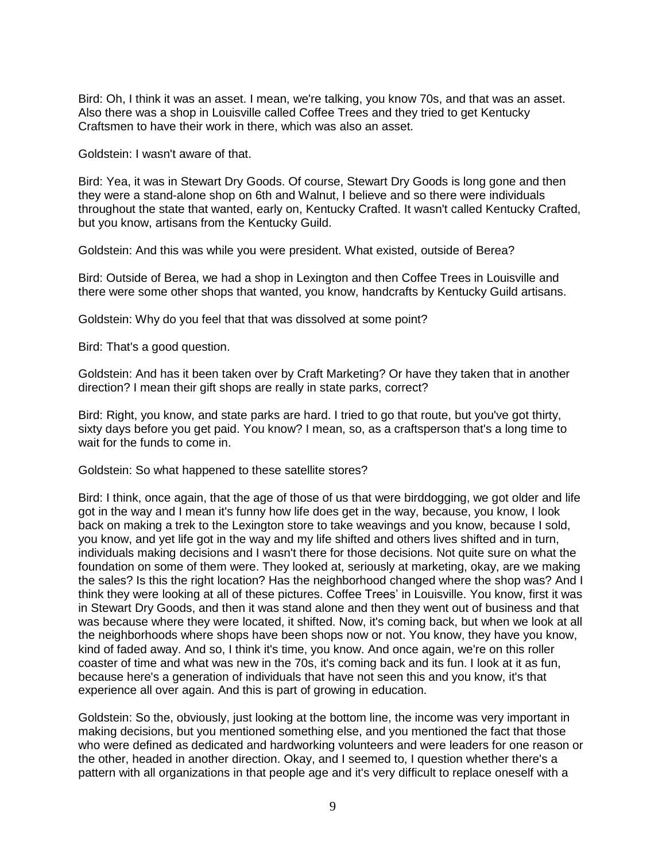Bird: Oh, I think it was an asset. I mean, we're talking, you know 70s, and that was an asset. Also there was a shop in Louisville called Coffee Trees and they tried to get Kentucky Craftsmen to have their work in there, which was also an asset.

Goldstein: I wasn't aware of that.

Bird: Yea, it was in Stewart Dry Goods. Of course, Stewart Dry Goods is long gone and then they were a stand-alone shop on 6th and Walnut, I believe and so there were individuals throughout the state that wanted, early on, Kentucky Crafted. It wasn't called Kentucky Crafted, but you know, artisans from the Kentucky Guild.

Goldstein: And this was while you were president. What existed, outside of Berea?

Bird: Outside of Berea, we had a shop in Lexington and then Coffee Trees in Louisville and there were some other shops that wanted, you know, handcrafts by Kentucky Guild artisans.

Goldstein: Why do you feel that that was dissolved at some point?

Bird: That's a good question.

Goldstein: And has it been taken over by Craft Marketing? Or have they taken that in another direction? I mean their gift shops are really in state parks, correct?

Bird: Right, you know, and state parks are hard. I tried to go that route, but you've got thirty, sixty days before you get paid. You know? I mean, so, as a craftsperson that's a long time to wait for the funds to come in.

Goldstein: So what happened to these satellite stores?

Bird: I think, once again, that the age of those of us that were birddogging, we got older and life got in the way and I mean it's funny how life does get in the way, because, you know, I look back on making a trek to the Lexington store to take weavings and you know, because I sold, you know, and yet life got in the way and my life shifted and others lives shifted and in turn, individuals making decisions and I wasn't there for those decisions. Not quite sure on what the foundation on some of them were. They looked at, seriously at marketing, okay, are we making the sales? Is this the right location? Has the neighborhood changed where the shop was? And I think they were looking at all of these pictures. Coffee Trees' in Louisville. You know, first it was in Stewart Dry Goods, and then it was stand alone and then they went out of business and that was because where they were located, it shifted. Now, it's coming back, but when we look at all the neighborhoods where shops have been shops now or not. You know, they have you know, kind of faded away. And so, I think it's time, you know. And once again, we're on this roller coaster of time and what was new in the 70s, it's coming back and its fun. I look at it as fun, because here's a generation of individuals that have not seen this and you know, it's that experience all over again. And this is part of growing in education.

Goldstein: So the, obviously, just looking at the bottom line, the income was very important in making decisions, but you mentioned something else, and you mentioned the fact that those who were defined as dedicated and hardworking volunteers and were leaders for one reason or the other, headed in another direction. Okay, and I seemed to, I question whether there's a pattern with all organizations in that people age and it's very difficult to replace oneself with a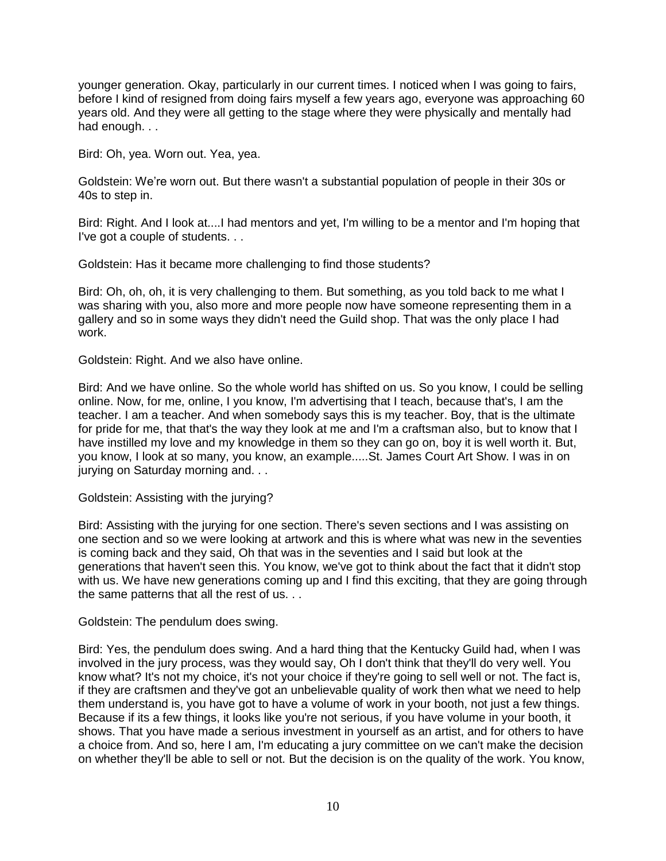younger generation. Okay, particularly in our current times. I noticed when I was going to fairs, before I kind of resigned from doing fairs myself a few years ago, everyone was approaching 60 years old. And they were all getting to the stage where they were physically and mentally had had enough. . .

Bird: Oh, yea. Worn out. Yea, yea.

Goldstein: We're worn out. But there wasn't a substantial population of people in their 30s or 40s to step in.

Bird: Right. And I look at....I had mentors and yet, I'm willing to be a mentor and I'm hoping that I've got a couple of students. . .

Goldstein: Has it became more challenging to find those students?

Bird: Oh, oh, oh, it is very challenging to them. But something, as you told back to me what I was sharing with you, also more and more people now have someone representing them in a gallery and so in some ways they didn't need the Guild shop. That was the only place I had work.

Goldstein: Right. And we also have online.

Bird: And we have online. So the whole world has shifted on us. So you know, I could be selling online. Now, for me, online, I you know, I'm advertising that I teach, because that's, I am the teacher. I am a teacher. And when somebody says this is my teacher. Boy, that is the ultimate for pride for me, that that's the way they look at me and I'm a craftsman also, but to know that I have instilled my love and my knowledge in them so they can go on, boy it is well worth it. But, you know, I look at so many, you know, an example.....St. James Court Art Show. I was in on jurying on Saturday morning and. . .

Goldstein: Assisting with the jurying?

Bird: Assisting with the jurying for one section. There's seven sections and I was assisting on one section and so we were looking at artwork and this is where what was new in the seventies is coming back and they said, Oh that was in the seventies and I said but look at the generations that haven't seen this. You know, we've got to think about the fact that it didn't stop with us. We have new generations coming up and I find this exciting, that they are going through the same patterns that all the rest of us. . .

Goldstein: The pendulum does swing.

Bird: Yes, the pendulum does swing. And a hard thing that the Kentucky Guild had, when I was involved in the jury process, was they would say, Oh I don't think that they'll do very well. You know what? It's not my choice, it's not your choice if they're going to sell well or not. The fact is, if they are craftsmen and they've got an unbelievable quality of work then what we need to help them understand is, you have got to have a volume of work in your booth, not just a few things. Because if its a few things, it looks like you're not serious, if you have volume in your booth, it shows. That you have made a serious investment in yourself as an artist, and for others to have a choice from. And so, here I am, I'm educating a jury committee on we can't make the decision on whether they'll be able to sell or not. But the decision is on the quality of the work. You know,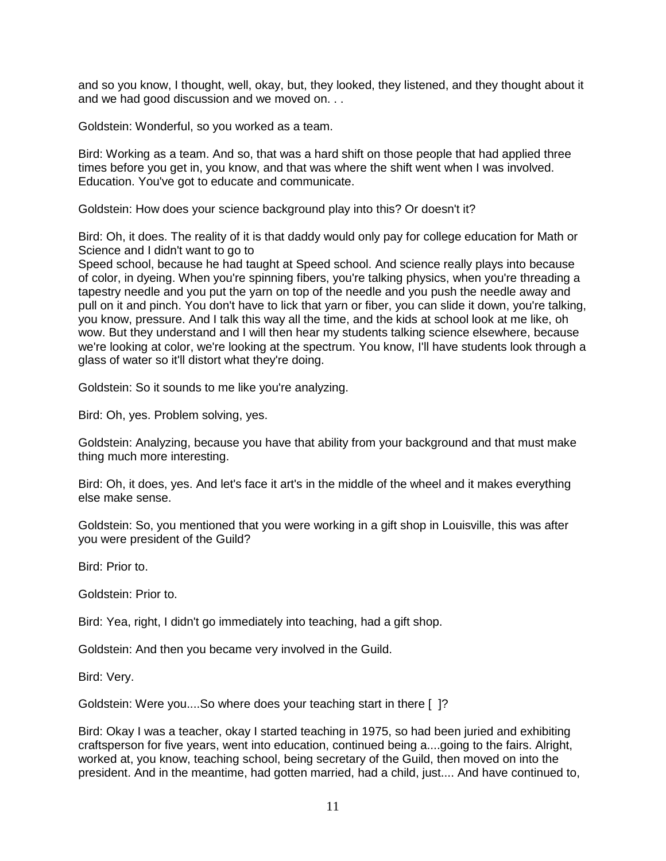and so you know, I thought, well, okay, but, they looked, they listened, and they thought about it and we had good discussion and we moved on. . .

Goldstein: Wonderful, so you worked as a team.

Bird: Working as a team. And so, that was a hard shift on those people that had applied three times before you get in, you know, and that was where the shift went when I was involved. Education. You've got to educate and communicate.

Goldstein: How does your science background play into this? Or doesn't it?

Bird: Oh, it does. The reality of it is that daddy would only pay for college education for Math or Science and I didn't want to go to

Speed school, because he had taught at Speed school. And science really plays into because of color, in dyeing. When you're spinning fibers, you're talking physics, when you're threading a tapestry needle and you put the yarn on top of the needle and you push the needle away and pull on it and pinch. You don't have to lick that yarn or fiber, you can slide it down, you're talking, you know, pressure. And I talk this way all the time, and the kids at school look at me like, oh wow. But they understand and I will then hear my students talking science elsewhere, because we're looking at color, we're looking at the spectrum. You know, I'll have students look through a glass of water so it'll distort what they're doing.

Goldstein: So it sounds to me like you're analyzing.

Bird: Oh, yes. Problem solving, yes.

Goldstein: Analyzing, because you have that ability from your background and that must make thing much more interesting.

Bird: Oh, it does, yes. And let's face it art's in the middle of the wheel and it makes everything else make sense.

Goldstein: So, you mentioned that you were working in a gift shop in Louisville, this was after you were president of the Guild?

Bird: Prior to.

Goldstein: Prior to.

Bird: Yea, right, I didn't go immediately into teaching, had a gift shop.

Goldstein: And then you became very involved in the Guild.

Bird: Very.

Goldstein: Were you....So where does your teaching start in there [ ]?

Bird: Okay I was a teacher, okay I started teaching in 1975, so had been juried and exhibiting craftsperson for five years, went into education, continued being a....going to the fairs. Alright, worked at, you know, teaching school, being secretary of the Guild, then moved on into the president. And in the meantime, had gotten married, had a child, just.... And have continued to,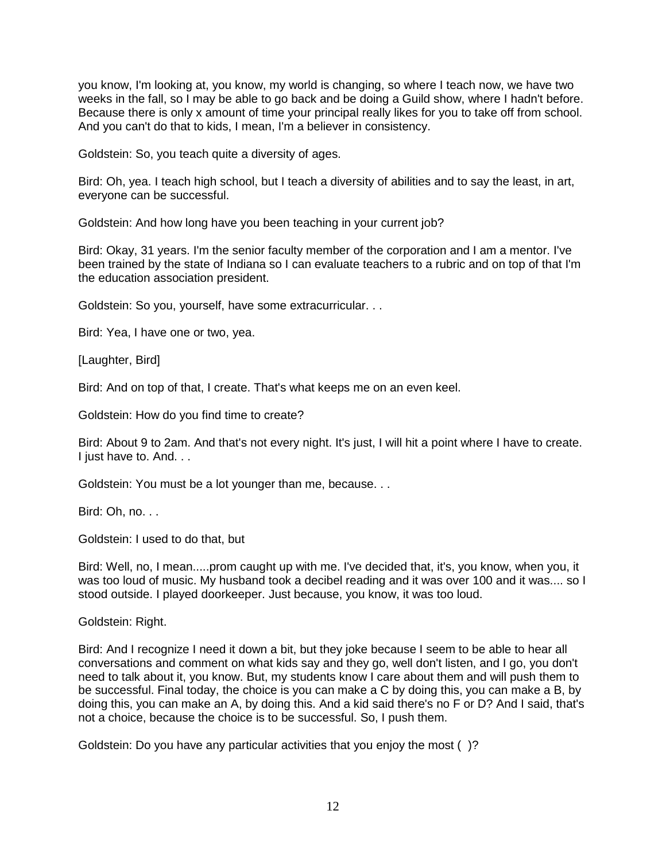you know, I'm looking at, you know, my world is changing, so where I teach now, we have two weeks in the fall, so I may be able to go back and be doing a Guild show, where I hadn't before. Because there is only x amount of time your principal really likes for you to take off from school. And you can't do that to kids, I mean, I'm a believer in consistency.

Goldstein: So, you teach quite a diversity of ages.

Bird: Oh, yea. I teach high school, but I teach a diversity of abilities and to say the least, in art, everyone can be successful.

Goldstein: And how long have you been teaching in your current job?

Bird: Okay, 31 years. I'm the senior faculty member of the corporation and I am a mentor. I've been trained by the state of Indiana so I can evaluate teachers to a rubric and on top of that I'm the education association president.

Goldstein: So you, yourself, have some extracurricular. . .

Bird: Yea, I have one or two, yea.

[Laughter, Bird]

Bird: And on top of that, I create. That's what keeps me on an even keel.

Goldstein: How do you find time to create?

Bird: About 9 to 2am. And that's not every night. It's just, I will hit a point where I have to create. I just have to. And. . .

Goldstein: You must be a lot younger than me, because. . .

Bird: Oh, no. . .

Goldstein: I used to do that, but

Bird: Well, no, I mean.....prom caught up with me. I've decided that, it's, you know, when you, it was too loud of music. My husband took a decibel reading and it was over 100 and it was.... so I stood outside. I played doorkeeper. Just because, you know, it was too loud.

Goldstein: Right.

Bird: And I recognize I need it down a bit, but they joke because I seem to be able to hear all conversations and comment on what kids say and they go, well don't listen, and I go, you don't need to talk about it, you know. But, my students know I care about them and will push them to be successful. Final today, the choice is you can make a C by doing this, you can make a B, by doing this, you can make an A, by doing this. And a kid said there's no F or D? And I said, that's not a choice, because the choice is to be successful. So, I push them.

Goldstein: Do you have any particular activities that you enjoy the most ( )?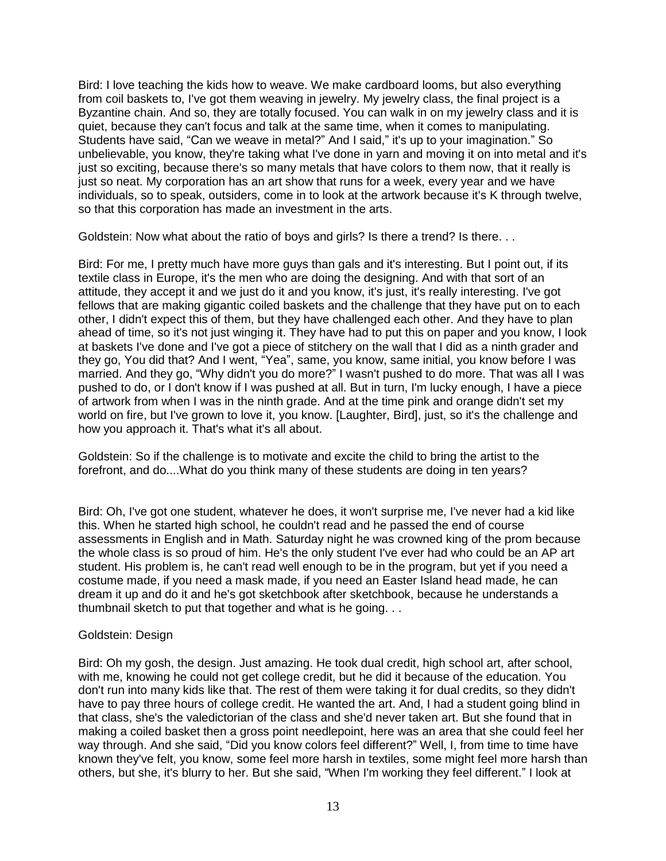Bird: I love teaching the kids how to weave. We make cardboard looms, but also everything from coil baskets to, I've got them weaving in jewelry. My jewelry class, the final project is a Byzantine chain. And so, they are totally focused. You can walk in on my jewelry class and it is quiet, because they can't focus and talk at the same time, when it comes to manipulating. Students have said, "Can we weave in metal?" And I said," it's up to your imagination." So unbelievable, you know, they're taking what I've done in yarn and moving it on into metal and it's just so exciting, because there's so many metals that have colors to them now, that it really is just so neat. My corporation has an art show that runs for a week, every year and we have individuals, so to speak, outsiders, come in to look at the artwork because it's K through twelve, so that this corporation has made an investment in the arts.

Goldstein: Now what about the ratio of boys and girls? Is there a trend? Is there. . .

Bird: For me, I pretty much have more guys than gals and it's interesting. But I point out, if its textile class in Europe, it's the men who are doing the designing. And with that sort of an attitude, they accept it and we just do it and you know, it's just, it's really interesting. I've got fellows that are making gigantic coiled baskets and the challenge that they have put on to each other, I didn't expect this of them, but they have challenged each other. And they have to plan ahead of time, so it's not just winging it. They have had to put this on paper and you know, I look at baskets I've done and I've got a piece of stitchery on the wall that I did as a ninth grader and they go, You did that? And I went, "Yea", same, you know, same initial, you know before I was married. And they go, "Why didn't you do more?" I wasn't pushed to do more. That was all I was pushed to do, or I don't know if I was pushed at all. But in turn, I'm lucky enough, I have a piece of artwork from when I was in the ninth grade. And at the time pink and orange didn't set my world on fire, but I've grown to love it, you know. [Laughter, Bird], just, so it's the challenge and how you approach it. That's what it's all about.

Goldstein: So if the challenge is to motivate and excite the child to bring the artist to the forefront, and do....What do you think many of these students are doing in ten years?

Bird: Oh, I've got one student, whatever he does, it won't surprise me, I've never had a kid like this. When he started high school, he couldn't read and he passed the end of course assessments in English and in Math. Saturday night he was crowned king of the prom because the whole class is so proud of him. He's the only student I've ever had who could be an AP art student. His problem is, he can't read well enough to be in the program, but yet if you need a costume made, if you need a mask made, if you need an Easter Island head made, he can dream it up and do it and he's got sketchbook after sketchbook, because he understands a thumbnail sketch to put that together and what is he going. . .

## Goldstein: Design

Bird: Oh my gosh, the design. Just amazing. He took dual credit, high school art, after school, with me, knowing he could not get college credit, but he did it because of the education. You don't run into many kids like that. The rest of them were taking it for dual credits, so they didn't have to pay three hours of college credit. He wanted the art. And, I had a student going blind in that class, she's the valedictorian of the class and she'd never taken art. But she found that in making a coiled basket then a gross point needlepoint, here was an area that she could feel her way through. And she said, "Did you know colors feel different?" Well, I, from time to time have known they've felt, you know, some feel more harsh in textiles, some might feel more harsh than others, but she, it's blurry to her. But she said, "When I'm working they feel different." I look at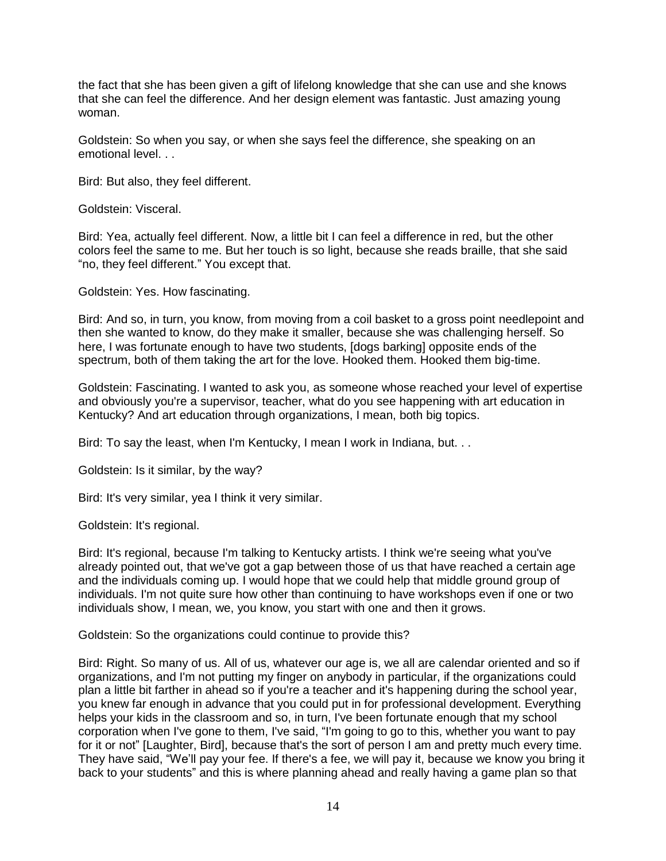the fact that she has been given a gift of lifelong knowledge that she can use and she knows that she can feel the difference. And her design element was fantastic. Just amazing young woman.

Goldstein: So when you say, or when she says feel the difference, she speaking on an emotional level. . .

Bird: But also, they feel different.

Goldstein: Visceral.

Bird: Yea, actually feel different. Now, a little bit I can feel a difference in red, but the other colors feel the same to me. But her touch is so light, because she reads braille, that she said "no, they feel different." You except that.

Goldstein: Yes. How fascinating.

Bird: And so, in turn, you know, from moving from a coil basket to a gross point needlepoint and then she wanted to know, do they make it smaller, because she was challenging herself. So here, I was fortunate enough to have two students, [dogs barking] opposite ends of the spectrum, both of them taking the art for the love. Hooked them. Hooked them big-time.

Goldstein: Fascinating. I wanted to ask you, as someone whose reached your level of expertise and obviously you're a supervisor, teacher, what do you see happening with art education in Kentucky? And art education through organizations, I mean, both big topics.

Bird: To say the least, when I'm Kentucky, I mean I work in Indiana, but. . .

Goldstein: Is it similar, by the way?

Bird: It's very similar, yea I think it very similar.

Goldstein: It's regional.

Bird: It's regional, because I'm talking to Kentucky artists. I think we're seeing what you've already pointed out, that we've got a gap between those of us that have reached a certain age and the individuals coming up. I would hope that we could help that middle ground group of individuals. I'm not quite sure how other than continuing to have workshops even if one or two individuals show, I mean, we, you know, you start with one and then it grows.

Goldstein: So the organizations could continue to provide this?

Bird: Right. So many of us. All of us, whatever our age is, we all are calendar oriented and so if organizations, and I'm not putting my finger on anybody in particular, if the organizations could plan a little bit farther in ahead so if you're a teacher and it's happening during the school year, you knew far enough in advance that you could put in for professional development. Everything helps your kids in the classroom and so, in turn, I've been fortunate enough that my school corporation when I've gone to them, I've said, "I'm going to go to this, whether you want to pay for it or not" [Laughter, Bird], because that's the sort of person I am and pretty much every time. They have said, "We'll pay your fee. If there's a fee, we will pay it, because we know you bring it back to your students" and this is where planning ahead and really having a game plan so that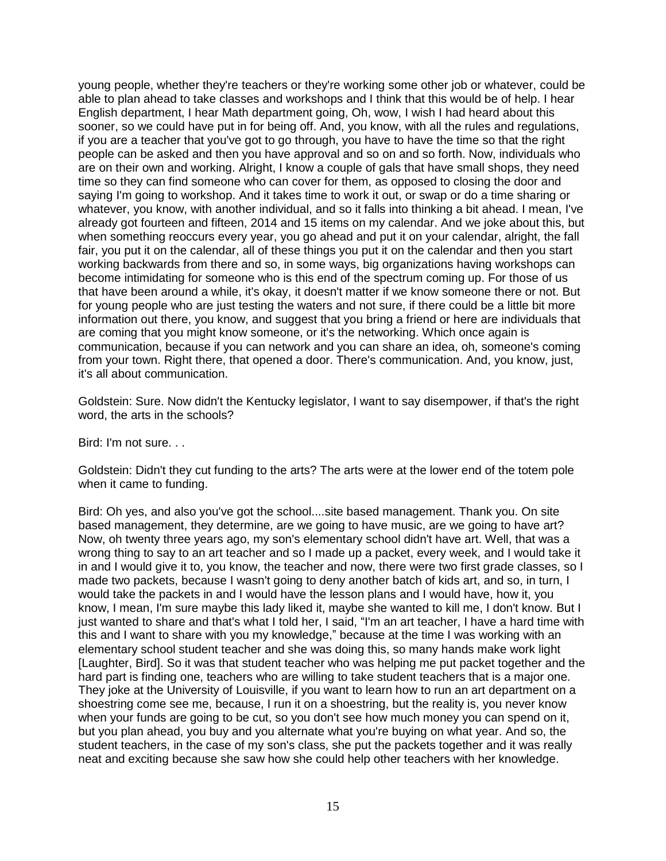young people, whether they're teachers or they're working some other job or whatever, could be able to plan ahead to take classes and workshops and I think that this would be of help. I hear English department, I hear Math department going, Oh, wow, I wish I had heard about this sooner, so we could have put in for being off. And, you know, with all the rules and regulations, if you are a teacher that you've got to go through, you have to have the time so that the right people can be asked and then you have approval and so on and so forth. Now, individuals who are on their own and working. Alright, I know a couple of gals that have small shops, they need time so they can find someone who can cover for them, as opposed to closing the door and saying I'm going to workshop. And it takes time to work it out, or swap or do a time sharing or whatever, you know, with another individual, and so it falls into thinking a bit ahead. I mean, I've already got fourteen and fifteen, 2014 and 15 items on my calendar. And we joke about this, but when something reoccurs every year, you go ahead and put it on your calendar, alright, the fall fair, you put it on the calendar, all of these things you put it on the calendar and then you start working backwards from there and so, in some ways, big organizations having workshops can become intimidating for someone who is this end of the spectrum coming up. For those of us that have been around a while, it's okay, it doesn't matter if we know someone there or not. But for young people who are just testing the waters and not sure, if there could be a little bit more information out there, you know, and suggest that you bring a friend or here are individuals that are coming that you might know someone, or it's the networking. Which once again is communication, because if you can network and you can share an idea, oh, someone's coming from your town. Right there, that opened a door. There's communication. And, you know, just, it's all about communication.

Goldstein: Sure. Now didn't the Kentucky legislator, I want to say disempower, if that's the right word, the arts in the schools?

Bird: I'm not sure. . .

Goldstein: Didn't they cut funding to the arts? The arts were at the lower end of the totem pole when it came to funding.

Bird: Oh yes, and also you've got the school....site based management. Thank you. On site based management, they determine, are we going to have music, are we going to have art? Now, oh twenty three years ago, my son's elementary school didn't have art. Well, that was a wrong thing to say to an art teacher and so I made up a packet, every week, and I would take it in and I would give it to, you know, the teacher and now, there were two first grade classes, so I made two packets, because I wasn't going to deny another batch of kids art, and so, in turn, I would take the packets in and I would have the lesson plans and I would have, how it, you know, I mean, I'm sure maybe this lady liked it, maybe she wanted to kill me, I don't know. But I just wanted to share and that's what I told her, I said, "I'm an art teacher, I have a hard time with this and I want to share with you my knowledge," because at the time I was working with an elementary school student teacher and she was doing this, so many hands make work light [Laughter, Bird]. So it was that student teacher who was helping me put packet together and the hard part is finding one, teachers who are willing to take student teachers that is a major one. They joke at the University of Louisville, if you want to learn how to run an art department on a shoestring come see me, because, I run it on a shoestring, but the reality is, you never know when your funds are going to be cut, so you don't see how much money you can spend on it, but you plan ahead, you buy and you alternate what you're buying on what year. And so, the student teachers, in the case of my son's class, she put the packets together and it was really neat and exciting because she saw how she could help other teachers with her knowledge.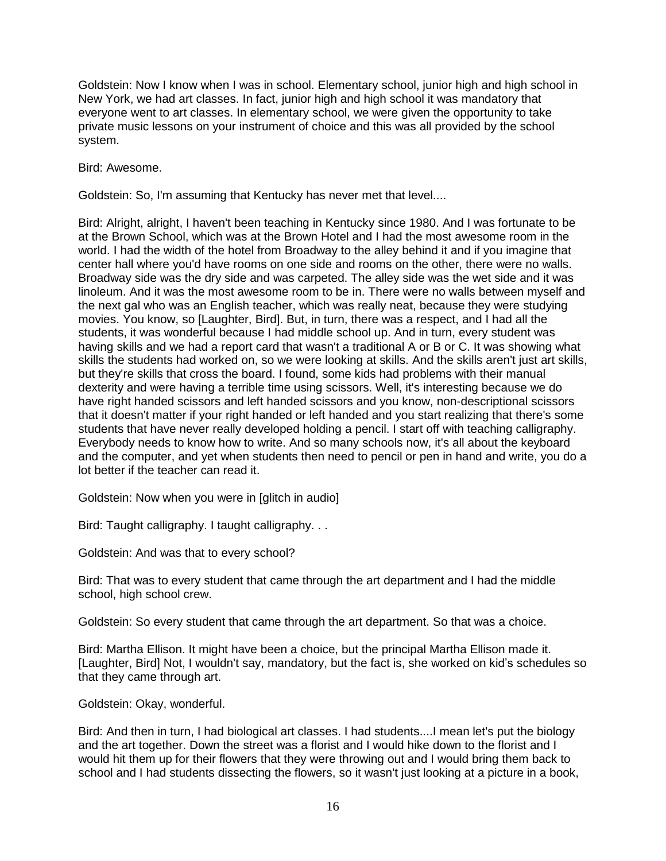Goldstein: Now I know when I was in school. Elementary school, junior high and high school in New York, we had art classes. In fact, junior high and high school it was mandatory that everyone went to art classes. In elementary school, we were given the opportunity to take private music lessons on your instrument of choice and this was all provided by the school system.

Bird: Awesome.

Goldstein: So, I'm assuming that Kentucky has never met that level....

Bird: Alright, alright, I haven't been teaching in Kentucky since 1980. And I was fortunate to be at the Brown School, which was at the Brown Hotel and I had the most awesome room in the world. I had the width of the hotel from Broadway to the alley behind it and if you imagine that center hall where you'd have rooms on one side and rooms on the other, there were no walls. Broadway side was the dry side and was carpeted. The alley side was the wet side and it was linoleum. And it was the most awesome room to be in. There were no walls between myself and the next gal who was an English teacher, which was really neat, because they were studying movies. You know, so [Laughter, Bird]. But, in turn, there was a respect, and I had all the students, it was wonderful because I had middle school up. And in turn, every student was having skills and we had a report card that wasn't a traditional A or B or C. It was showing what skills the students had worked on, so we were looking at skills. And the skills aren't just art skills, but they're skills that cross the board. I found, some kids had problems with their manual dexterity and were having a terrible time using scissors. Well, it's interesting because we do have right handed scissors and left handed scissors and you know, non-descriptional scissors that it doesn't matter if your right handed or left handed and you start realizing that there's some students that have never really developed holding a pencil. I start off with teaching calligraphy. Everybody needs to know how to write. And so many schools now, it's all about the keyboard and the computer, and yet when students then need to pencil or pen in hand and write, you do a lot better if the teacher can read it.

Goldstein: Now when you were in [glitch in audio]

Bird: Taught calligraphy. I taught calligraphy. . .

Goldstein: And was that to every school?

Bird: That was to every student that came through the art department and I had the middle school, high school crew.

Goldstein: So every student that came through the art department. So that was a choice.

Bird: Martha Ellison. It might have been a choice, but the principal Martha Ellison made it. [Laughter, Bird] Not, I wouldn't say, mandatory, but the fact is, she worked on kid's schedules so that they came through art.

Goldstein: Okay, wonderful.

Bird: And then in turn, I had biological art classes. I had students....I mean let's put the biology and the art together. Down the street was a florist and I would hike down to the florist and I would hit them up for their flowers that they were throwing out and I would bring them back to school and I had students dissecting the flowers, so it wasn't just looking at a picture in a book,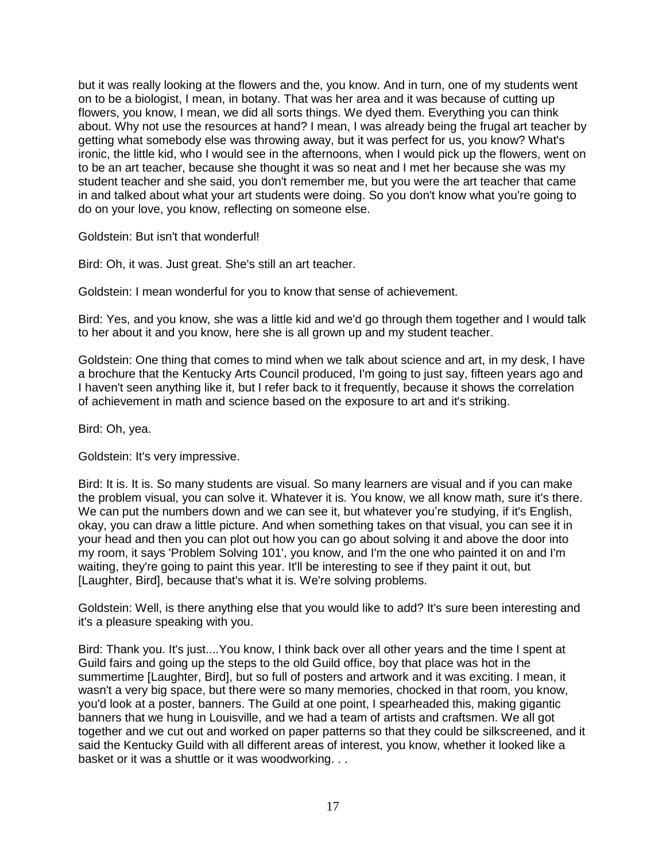but it was really looking at the flowers and the, you know. And in turn, one of my students went on to be a biologist, I mean, in botany. That was her area and it was because of cutting up flowers, you know, I mean, we did all sorts things. We dyed them. Everything you can think about. Why not use the resources at hand? I mean, I was already being the frugal art teacher by getting what somebody else was throwing away, but it was perfect for us, you know? What's ironic, the little kid, who I would see in the afternoons, when I would pick up the flowers, went on to be an art teacher, because she thought it was so neat and I met her because she was my student teacher and she said, you don't remember me, but you were the art teacher that came in and talked about what your art students were doing. So you don't know what you're going to do on your love, you know, reflecting on someone else.

Goldstein: But isn't that wonderful!

Bird: Oh, it was. Just great. She's still an art teacher.

Goldstein: I mean wonderful for you to know that sense of achievement.

Bird: Yes, and you know, she was a little kid and we'd go through them together and I would talk to her about it and you know, here she is all grown up and my student teacher.

Goldstein: One thing that comes to mind when we talk about science and art, in my desk, I have a brochure that the Kentucky Arts Council produced, I'm going to just say, fifteen years ago and I haven't seen anything like it, but I refer back to it frequently, because it shows the correlation of achievement in math and science based on the exposure to art and it's striking.

Bird: Oh, yea.

Goldstein: It's very impressive.

Bird: It is. It is. So many students are visual. So many learners are visual and if you can make the problem visual, you can solve it. Whatever it is. You know, we all know math, sure it's there. We can put the numbers down and we can see it, but whatever you're studying, if it's English, okay, you can draw a little picture. And when something takes on that visual, you can see it in your head and then you can plot out how you can go about solving it and above the door into my room, it says 'Problem Solving 101', you know, and I'm the one who painted it on and I'm waiting, they're going to paint this year. It'll be interesting to see if they paint it out, but [Laughter, Bird], because that's what it is. We're solving problems.

Goldstein: Well, is there anything else that you would like to add? It's sure been interesting and it's a pleasure speaking with you.

Bird: Thank you. It's just....You know, I think back over all other years and the time I spent at Guild fairs and going up the steps to the old Guild office, boy that place was hot in the summertime [Laughter, Bird], but so full of posters and artwork and it was exciting. I mean, it wasn't a very big space, but there were so many memories, chocked in that room, you know, you'd look at a poster, banners. The Guild at one point, I spearheaded this, making gigantic banners that we hung in Louisville, and we had a team of artists and craftsmen. We all got together and we cut out and worked on paper patterns so that they could be silkscreened, and it said the Kentucky Guild with all different areas of interest, you know, whether it looked like a basket or it was a shuttle or it was woodworking. . .